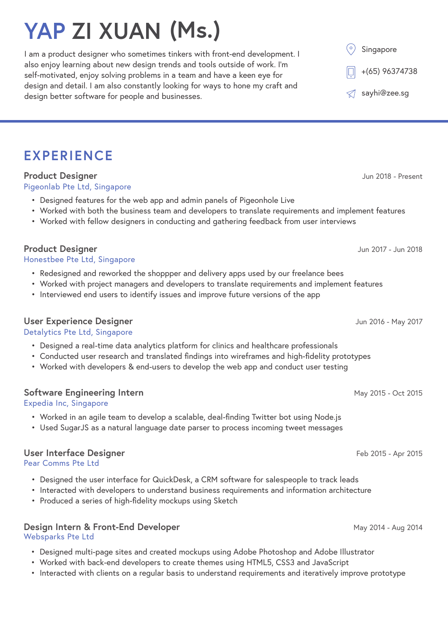# **YAP ZI XUAN (Ms.)**

I am a product designer who sometimes tinkers with front-end development. I also enjoy learning about new design trends and tools outside of work. I'm self-motivated, enjoy solving problems in a team and have a keen eye for design and detail. I am also constantly looking for ways to hone my craft and design better software for people and businesses.

Singapore sayhi@zee.sg +(65) 96374738

# **EXPERIENCE**

### **Product Designer**

Pigeonlab Pte Ltd, Singapore

- Designed features for the web app and admin panels of Pigeonhole Live
- Worked with both the business team and developers to translate requirements and implement features
- Worked with fellow designers in conducting and gathering feedback from user interviews

### **Product Designer**

Honestbee Pte Ltd, Singapore

- Redesigned and reworked the shoppper and delivery apps used by our freelance bees
- Worked with project managers and developers to translate requirements and implement features
- Interviewed end users to identify issues and improve future versions of the app

### **User Experience Designer**

### Detalytics Pte Ltd, Singapore

- Designed a real-time data analytics platform for clinics and healthcare professionals
- Conducted user research and translated findings into wireframes and high-fidelity prototypes
- Worked with developers & end-users to develop the web app and conduct user testing

### **Software Engineering Intern**

Expedia Inc, Singapore

- Worked in an agile team to develop a scalable, deal-finding Twitter bot using Node.js
- Used SugarJS as a natural language date parser to process incoming tweet messages

### **User Interface Designer**

Pear Comms Pte Ltd

- Designed the user interface for QuickDesk, a CRM software for salespeople to track leads
- Interacted with developers to understand business requirements and information architecture
- Produced a series of high-fidelity mockups using Sketch

#### **Design Intern & Front-End Developer** Websparks Pte Ltd

- Designed multi-page sites and created mockups using Adobe Photoshop and Adobe Illustrator
- Worked with back-end developers to create themes using HTML5, CSS3 and JavaScript
- Interacted with clients on a regular basis to understand requirements and iteratively improve prototype

Jun 2018 - Present

Jun 2017 - Jun 2018

Jun 2016 - May 2017

May 2015 - Oct 2015

Feb 2015 - Apr 2015

May 2014 - Aug 2014